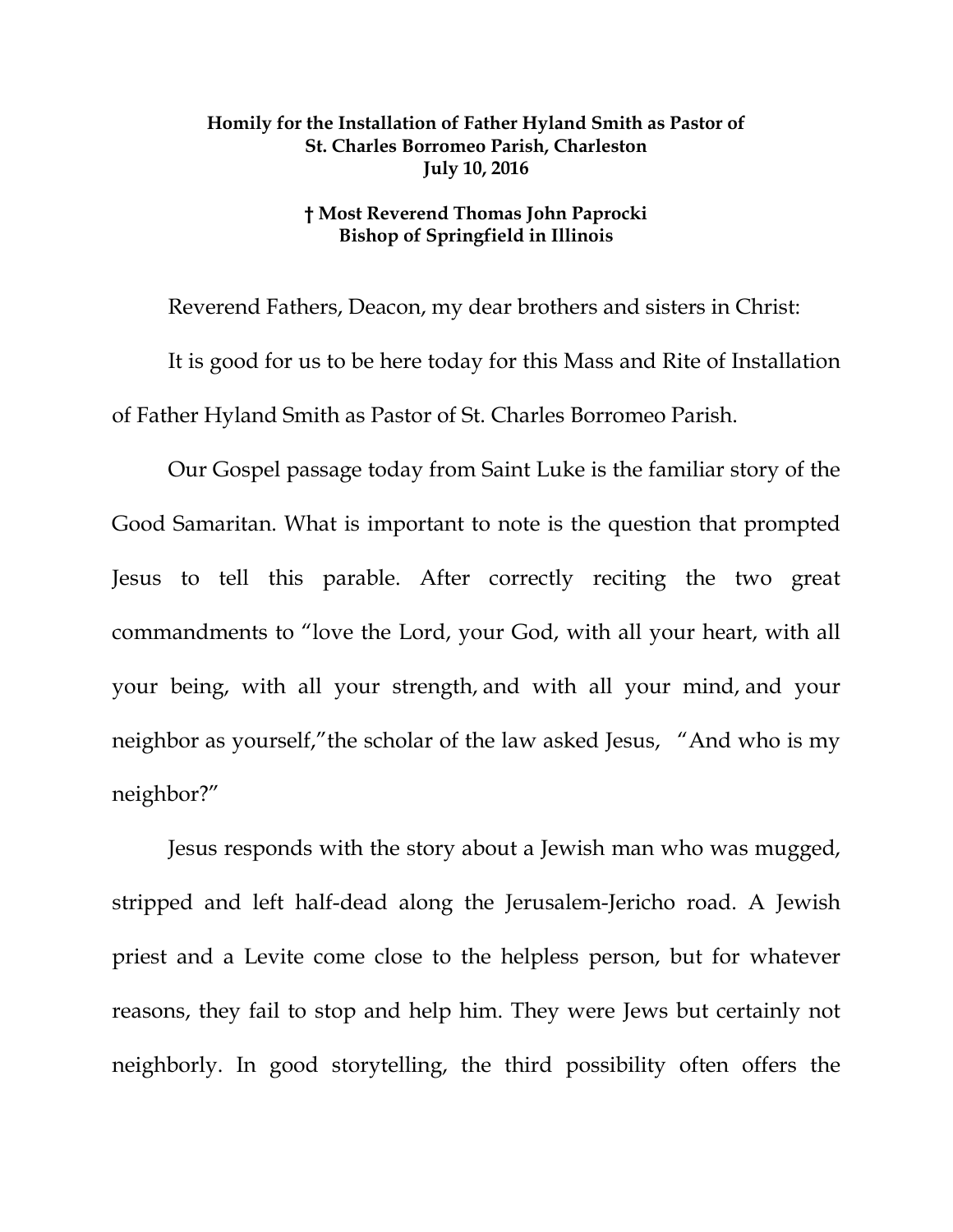## **Homily for the Installation of Father Hyland Smith as Pastor of St. Charles Borromeo Parish, Charleston July 10, 2016**

## **† Most Reverend Thomas John Paprocki Bishop of Springfield in Illinois**

Reverend Fathers, Deacon, my dear brothers and sisters in Christ: It is good for us to be here today for this Mass and Rite of Installation of Father Hyland Smith as Pastor of St. Charles Borromeo Parish.

Our Gospel passage today from Saint Luke is the familiar story of the Good Samaritan. What is important to note is the question that prompted Jesus to tell this parable. After correctly reciting the two great commandments to "love the Lord, your God, with all your heart, with all your being, with all your strength, and with all your mind, and your neighbor as yourself,"the scholar of the law asked Jesus, "And who is my neighbor?"

Jesus responds with the story about a Jewish man who was mugged, stripped and left half-dead along the Jerusalem-Jericho road. A Jewish priest and a Levite come close to the helpless person, but for whatever reasons, they fail to stop and help him. They were Jews but certainly not neighborly. In good storytelling, the third possibility often offers the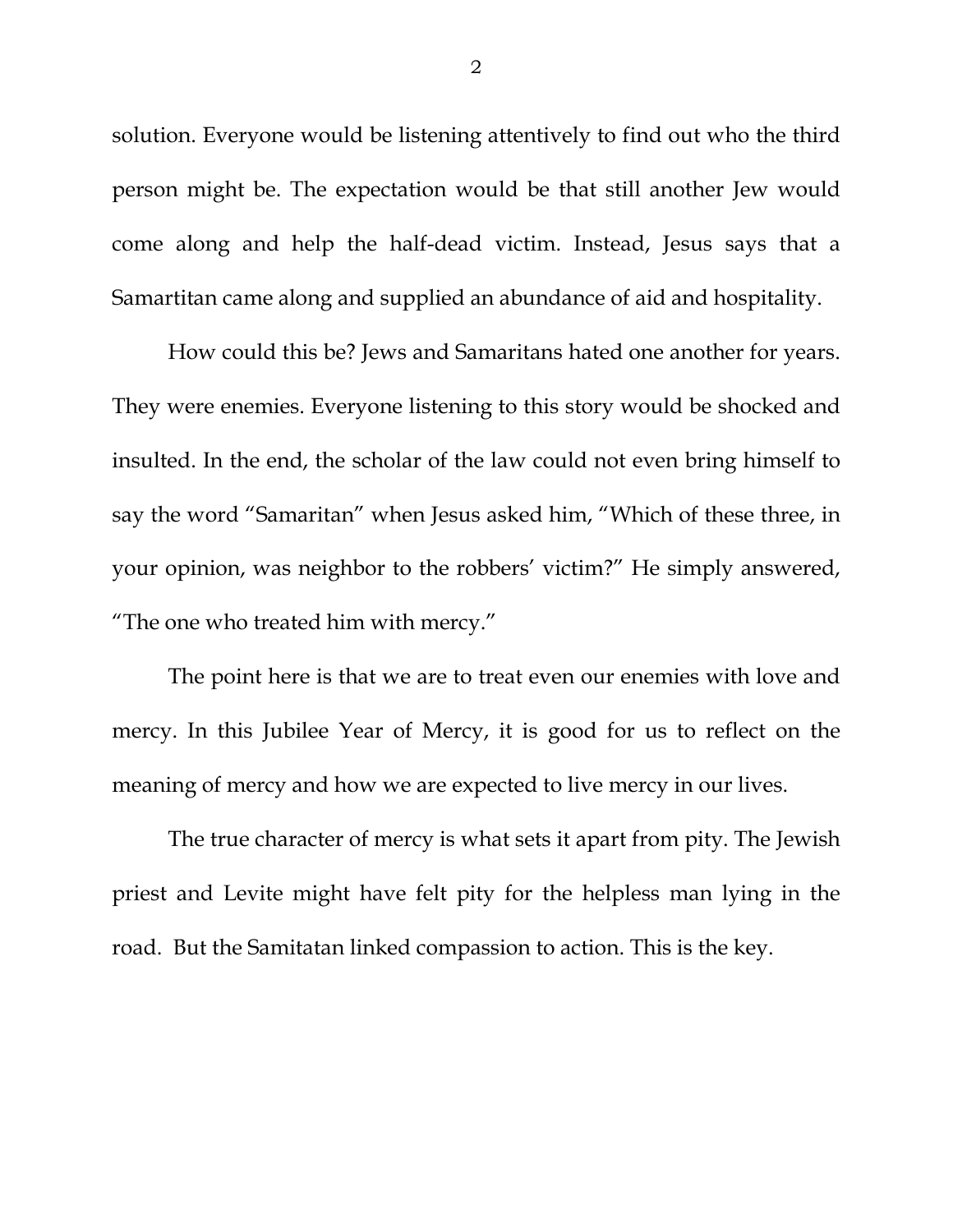solution. Everyone would be listening attentively to find out who the third person might be. The expectation would be that still another Jew would come along and help the half-dead victim. Instead, Jesus says that a Samartitan came along and supplied an abundance of aid and hospitality.

How could this be? Jews and Samaritans hated one another for years. They were enemies. Everyone listening to this story would be shocked and insulted. In the end, the scholar of the law could not even bring himself to say the word "Samaritan" when Jesus asked him, "Which of these three, in your opinion, was neighbor to the robbers' victim?" He simply answered, "The one who treated him with mercy."

The point here is that we are to treat even our enemies with love and mercy. In this Jubilee Year of Mercy, it is good for us to reflect on the meaning of mercy and how we are expected to live mercy in our lives.

<span id="page-1-1"></span><span id="page-1-0"></span>The true character of mercy is what sets it apart from pity. The Jewish priest and Levite might have felt pity for the helpless man lying in the road. But the Samitatan linked compassion to action. This is the key.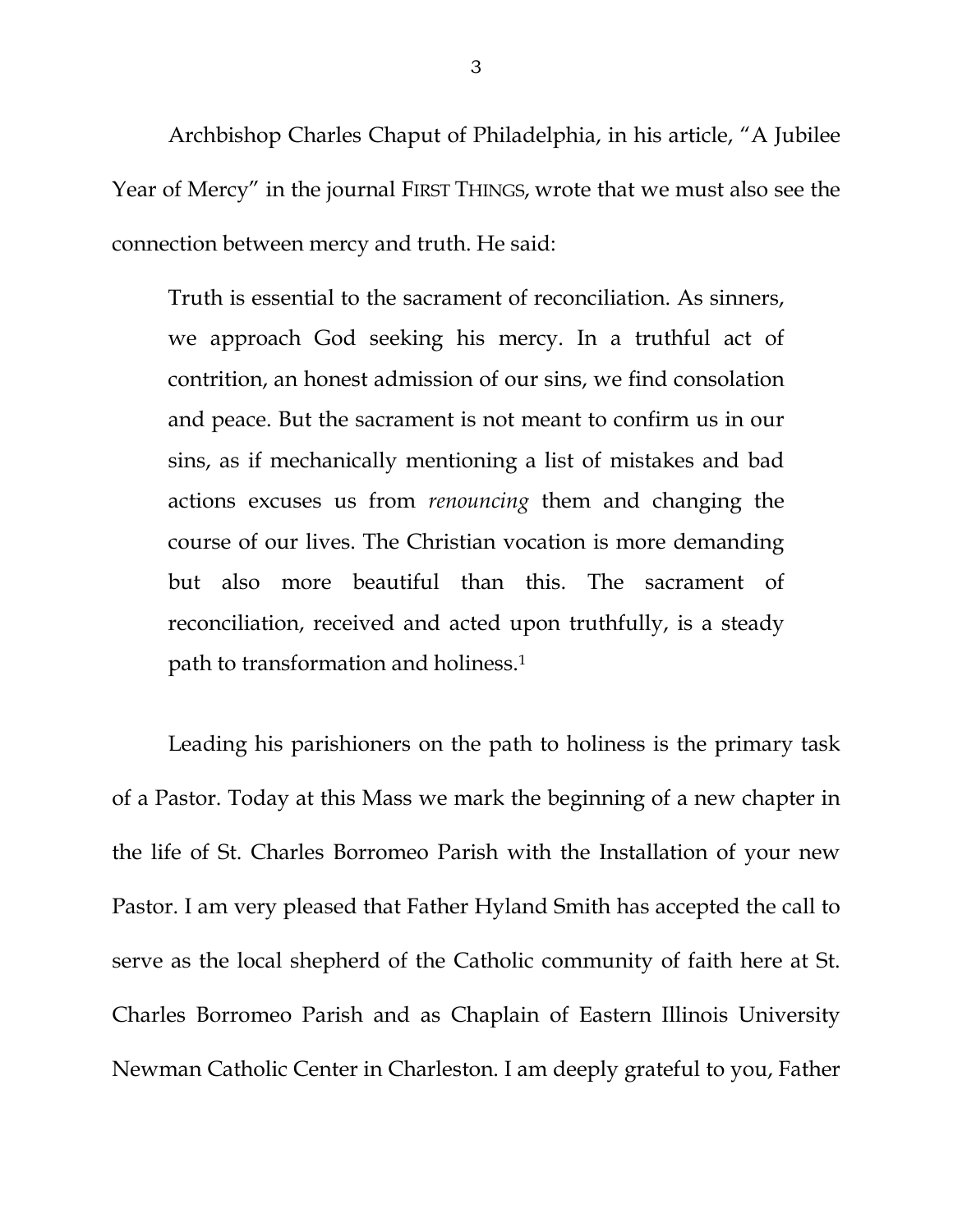Archbishop Charles Chaput of Philadelphia, in his article, "A Jubilee Year of Mercy" in the journal FIRST THINGS, wrote that we must also see the connection between mercy and truth. He said:

Truth is essential to the sacrament of reconciliation. As sinners, we approach God seeking his mercy. In a truthful act of contrition, an honest admission of our sins, we find consolation and peace. But the sacrament is not meant to confirm us in our sins, as if mechanically mentioning a list of mistakes and bad actions excuses us from *renouncing* them and changing the course of our lives. The Christian vocation is more demanding but also more beautiful than this. The sacrament of reconciliation, received and acted upon truthfully, is a steady path to transformation and holiness[.1](#page-1-0)

Leading his parishioners on the path to holiness is the primary task of a Pastor. Today at this Mass we mark the beginning of a new chapter in the life of St. Charles Borromeo Parish with the Installation of your new Pastor. I am very pleased that Father Hyland Smith has accepted the call to serve as the local shepherd of the Catholic community of faith here at St. Charles Borromeo Parish and as Chaplain of Eastern Illinois University Newman Catholic Center in Charleston. I am deeply grateful to you, Father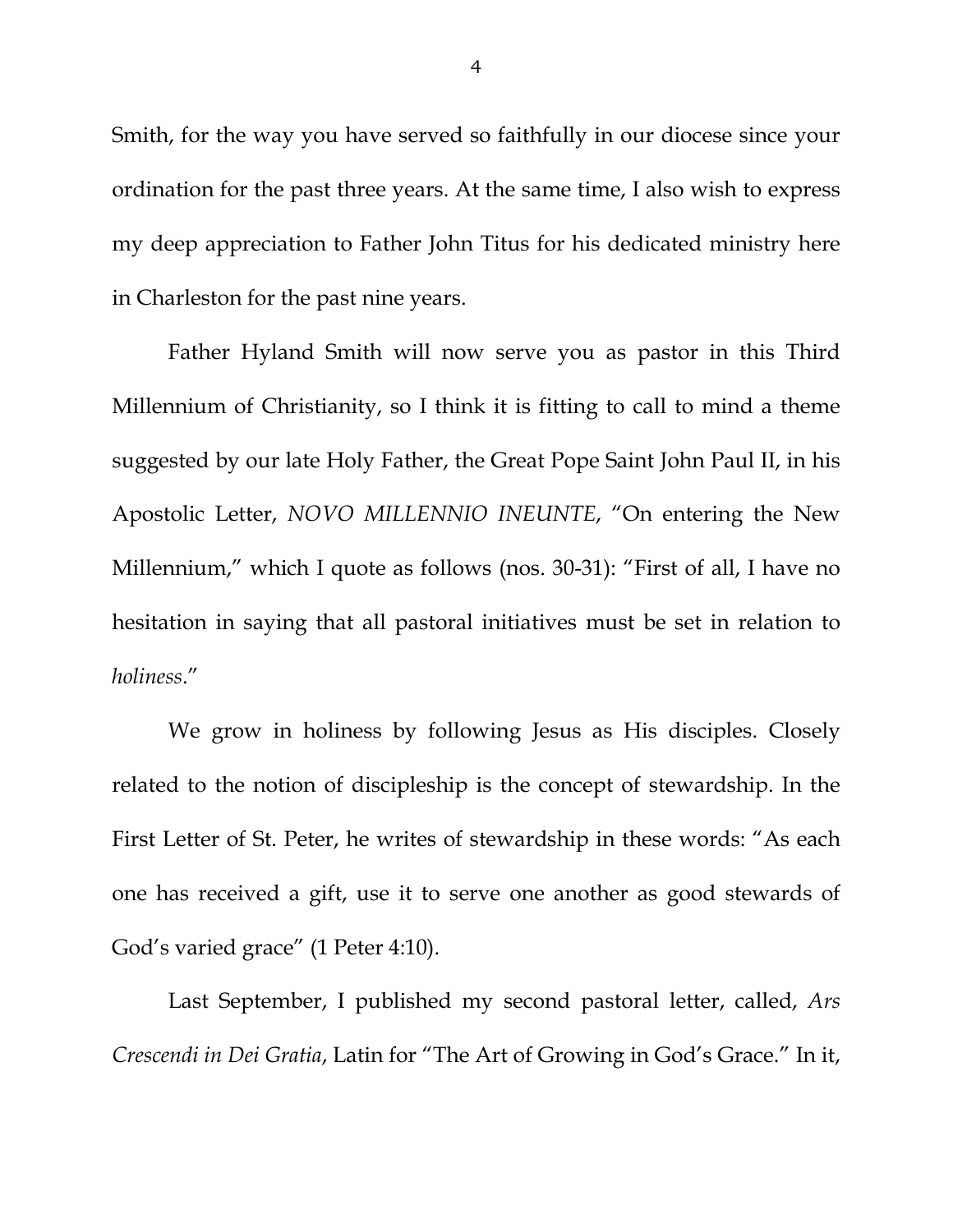Smith, for the way you have served so faithfully in our diocese since your ordination for the past three years. At the same time, I also wish to express my deep appreciation to Father John Titus for his dedicated ministry here in Charleston for the past nine years.

Father Hyland Smith will now serve you as pastor in this Third Millennium of Christianity, so I think it is fitting to call to mind a theme suggested by our late Holy Father, the Great Pope Saint John Paul II, in his Apostolic Letter, *NOVO MILLENNIO INEUNTE*, "On entering the New Millennium," which I quote as follows (nos. 30-31): "First of all, I have no hesitation in saying that all pastoral initiatives must be set in relation to *holiness*."

We grow in holiness by following Jesus as His disciples. Closely related to the notion of discipleship is the concept of stewardship. In the First Letter of St. Peter, he writes of stewardship in these words: "As each one has received a gift, use it to serve one another as good stewards of God's varied grace" (1 Peter 4:10).

Last September, I published my second pastoral letter, called, *Ars Crescendi in Dei Gratia*, Latin for "The Art of Growing in God's Grace." In it,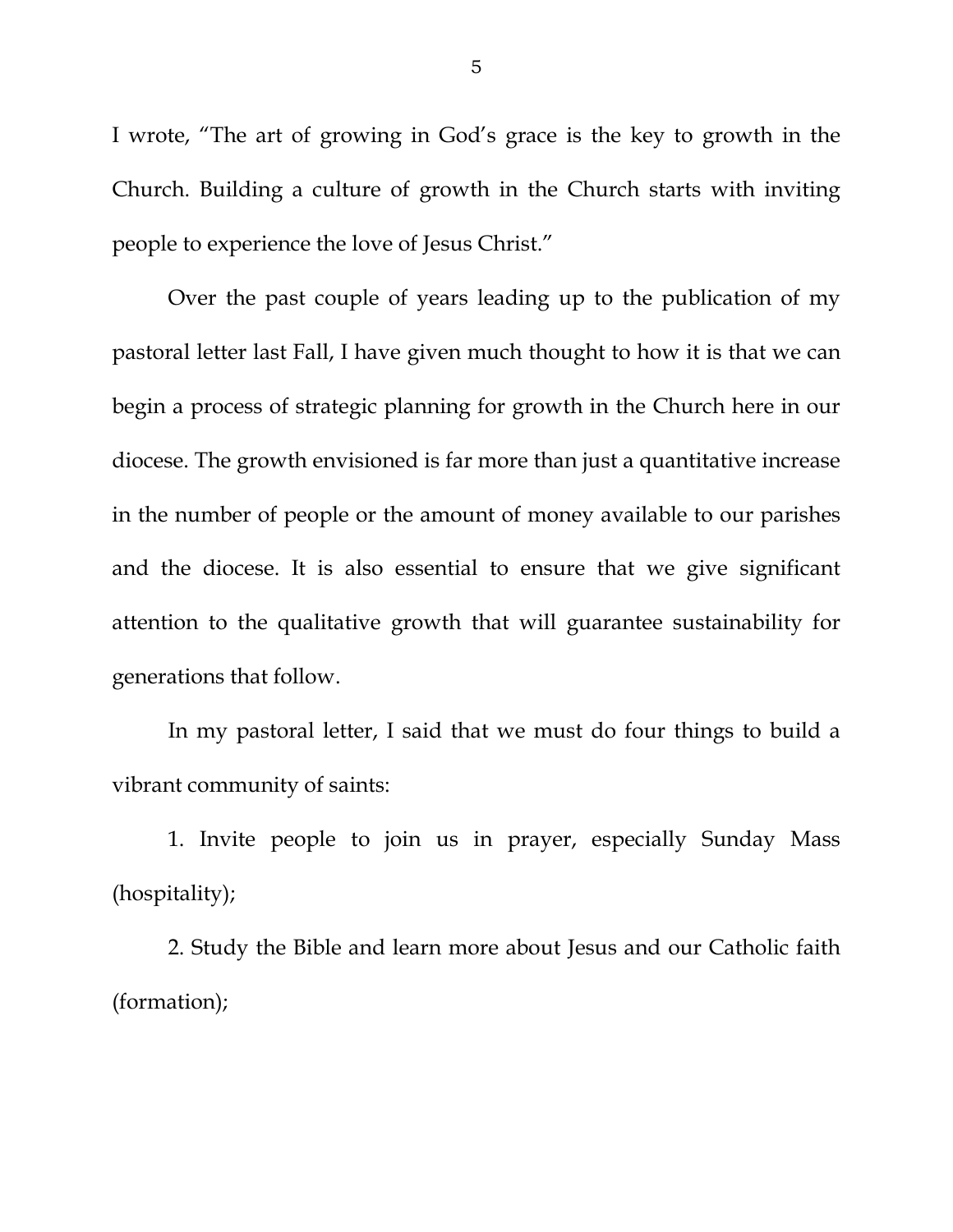I wrote, "The art of growing in God's grace is the key to growth in the Church. Building a culture of growth in the Church starts with inviting people to experience the love of Jesus Christ."

Over the past couple of years leading up to the publication of my pastoral letter last Fall, I have given much thought to how it is that we can begin a process of strategic planning for growth in the Church here in our diocese. The growth envisioned is far more than just a quantitative increase in the number of people or the amount of money available to our parishes and the diocese. It is also essential to ensure that we give significant attention to the qualitative growth that will guarantee sustainability for generations that follow.

In my pastoral letter, I said that we must do four things to build a vibrant community of saints:

1. Invite people to join us in prayer, especially Sunday Mass (hospitality);

2. Study the Bible and learn more about Jesus and our Catholic faith (formation);

5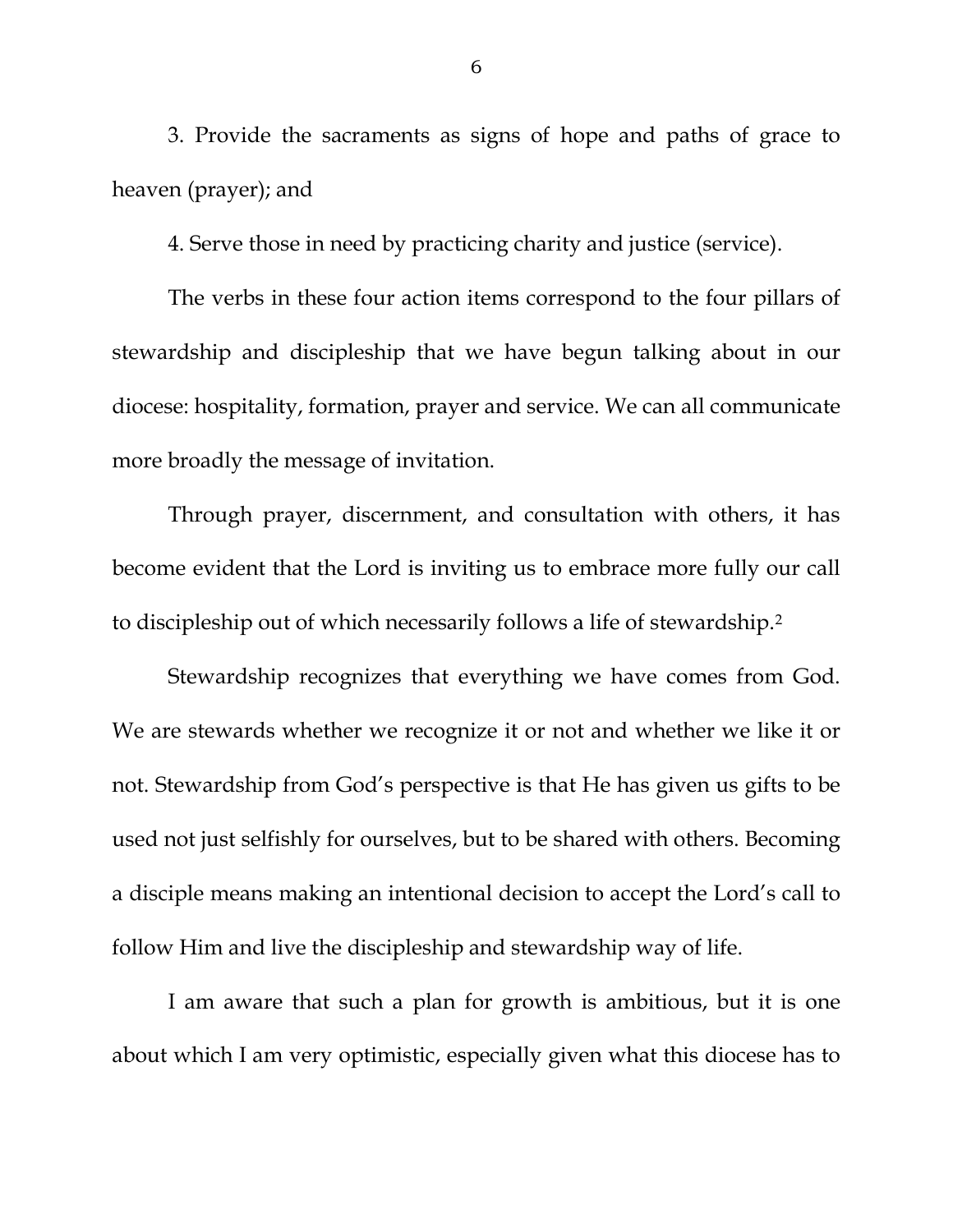3. Provide the sacraments as signs of hope and paths of grace to heaven (prayer); and

4. Serve those in need by practicing charity and justice (service).

The verbs in these four action items correspond to the four pillars of stewardship and discipleship that we have begun talking about in our diocese: hospitality, formation, prayer and service. We can all communicate more broadly the message of invitation.

Through prayer, discernment, and consultation with others, it has become evident that the Lord is inviting us to embrace more fully our call to discipleship out of which necessarily follows a life of stewardship.[2](#page-1-1) 

Stewardship recognizes that everything we have comes from God. We are stewards whether we recognize it or not and whether we like it or not. Stewardship from God's perspective is that He has given us gifts to be used not just selfishly for ourselves, but to be shared with others. Becoming a disciple means making an intentional decision to accept the Lord's call to follow Him and live the discipleship and stewardship way of life.

I am aware that such a plan for growth is ambitious, but it is one about which I am very optimistic, especially given what this diocese has to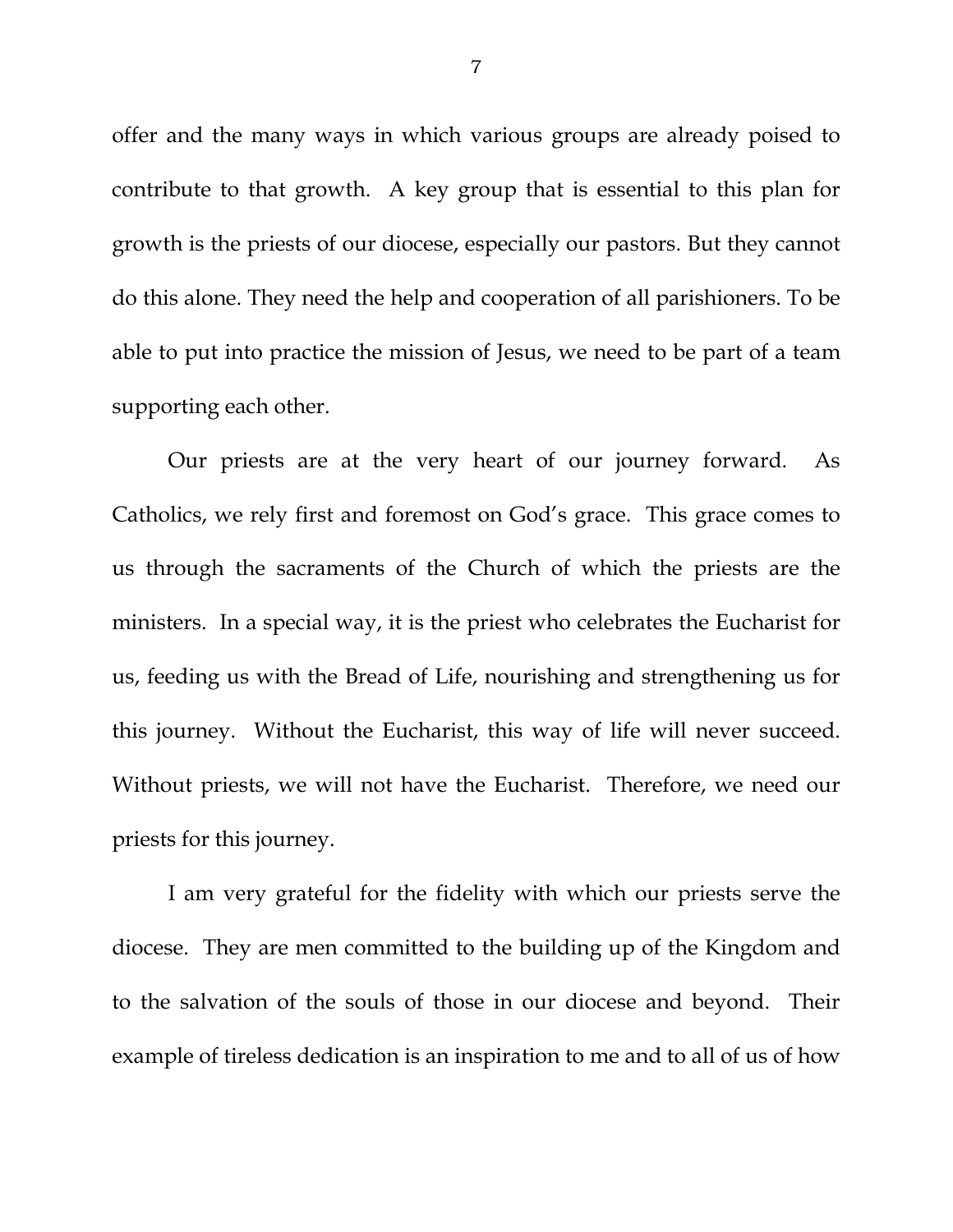offer and the many ways in which various groups are already poised to contribute to that growth. A key group that is essential to this plan for growth is the priests of our diocese, especially our pastors. But they cannot do this alone. They need the help and cooperation of all parishioners. To be able to put into practice the mission of Jesus, we need to be part of a team supporting each other.

Our priests are at the very heart of our journey forward. As Catholics, we rely first and foremost on God's grace. This grace comes to us through the sacraments of the Church of which the priests are the ministers. In a special way, it is the priest who celebrates the Eucharist for us, feeding us with the Bread of Life, nourishing and strengthening us for this journey. Without the Eucharist, this way of life will never succeed. Without priests, we will not have the Eucharist. Therefore, we need our priests for this journey.

I am very grateful for the fidelity with which our priests serve the diocese. They are men committed to the building up of the Kingdom and to the salvation of the souls of those in our diocese and beyond. Their example of tireless dedication is an inspiration to me and to all of us of how

7